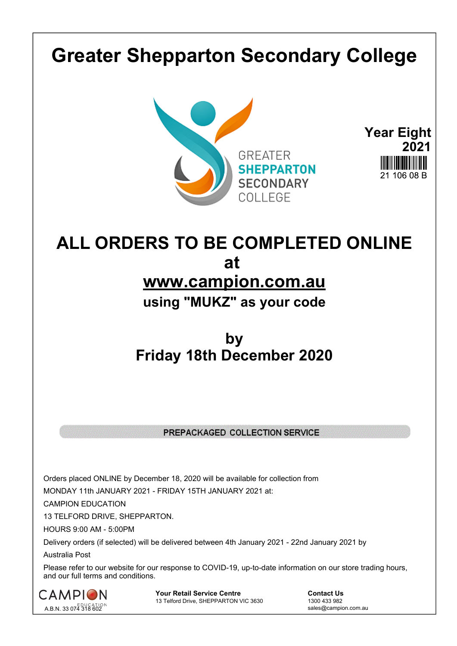## **Greater Shepparton Secondary College**





## **ALL ORDERS TO BE COMPLETED ONLINE at www.campion.com.au using "MUKZ" as your code**

## **by Friday 18th December 2020**

## PREPACKAGED COLLECTION SERVICE

Orders placed ONLINE by December 18, 2020 will be available for collection from

MONDAY 11th JANUARY 2021 - FRIDAY 15TH JANUARY 2021 at:

CAMPION EDUCATION

13 TELFORD DRIVE, SHEPPARTON.

HOURS 9:00 AM - 5:00PM

Delivery orders (if selected) will be delivered between 4th January 2021 - 22nd January 2021 by

Australia Post

Please refer to our website for our response to COVID-19, up-to-date information on our store trading hours, and our full terms and conditions.



**Your Retail Service Centre Contact Us**<br>
13 Telford Drive, SHEPPARTON VIC 3630

1300 433 982 13 Telford Drive, SHEPPARTON VIC 3630

sales@campion.com.au